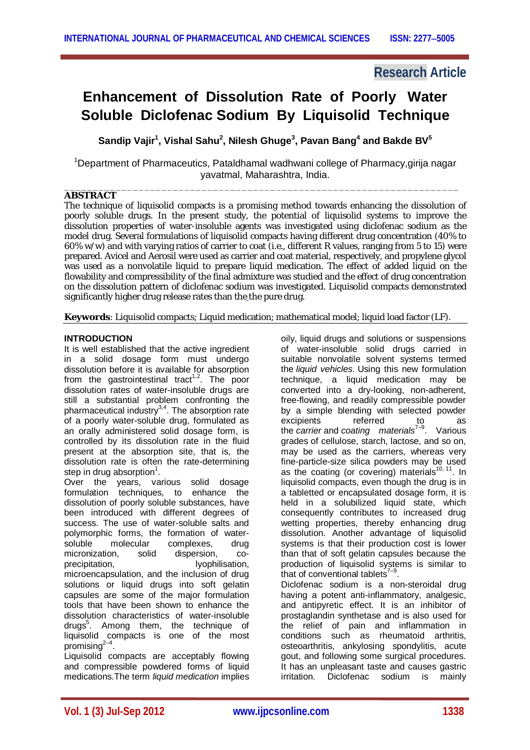# **Research Article**

# **Enhancement of Dissolution Rate of Poorly Water Soluble Diclofenac Sodium By Liquisolid Technique**

**Sandip Vajir<sup>1</sup> , Vishal Sahu<sup>2</sup> , Nilesh Ghuge<sup>3</sup> , Pavan Bang<sup>4</sup> and Bakde BV<sup>5</sup>**

<sup>1</sup>Department of Pharmaceutics, Pataldhamal wadhwani college of Pharmacy,girija nagar yavatmal, Maharashtra, India.

#### \_\_\_\_\_\_\_\_\_\_\_\_\_\_\_\_\_\_\_\_\_\_\_\_\_\_\_\_\_\_\_\_\_\_\_\_\_\_\_\_\_\_\_\_\_\_\_\_\_\_\_\_\_\_\_\_\_\_\_\_\_\_\_\_\_\_\_\_\_ **ABSTRACT**

The technique of liquisolid compacts is a promising method towards enhancing the dissolution of poorly soluble drugs. In the present study, the potential of liquisolid systems to improve the dissolution properties of water-insoluble agents was investigated using diclofenac sodium as the model drug. Several formulations of liquisolid compacts having different drug concentration (40% to 60% w/w) and with varying ratios of carrier to coat (i.e., different R values, ranging from 5 to 15) were prepared. Avicel and Aerosil were used as carrier and coat material, respectively, and propylene glycol was used as a nonvolatile liquid to prepare liquid medication. The effect of added liquid on the flowability and compressibility of the final admixture was studied and the effect of drug concentration on the dissolution pattern of diclofenac sodium was investigated. Liquisolid compacts demonstrated significantly higher drug release rates than the the pure drug.

**Keywords**: Liquisolid compacts; Liquid medication; mathematical model; liquid load factor (LF).

# **INTRODUCTION**

It is well established that the active ingredient in a solid dosage form must undergo dissolution before it is available for absorption from the gastrointestinal tract<sup>1,2</sup>. The poor dissolution rates of water-insoluble drugs are still a substantial problem confronting the pharmaceutical industry<sup>3,4</sup>. The absorption rate of a poorly water-soluble drug, formulated as an orally administered solid dosage form, is controlled by its dissolution rate in the fluid present at the absorption site, that is, the dissolution rate is often the rate-determining step in drug absorption $^1$ .

Over the years, various solid dosage formulation techniques, to enhance the dissolution of poorly soluble substances, have been introduced with different degrees of success. The use of water-soluble salts and polymorphic forms, the formation of water-<br>soluble molecular complexes. drug complexes, drug micronization, solid dispersion, coprecipitation, lyophilisation, microencapsulation, and the inclusion of drug solutions or liquid drugs into soft gelatin capsules are some of the major formulation tools that have been shown to enhance the dissolution characteristics of water-insoluble drugs<sup>5</sup>. Among them, the technique of liquisolid compacts is one of the most promising $^{2-4}$ .

Liquisolid compacts are acceptably flowing and compressible powdered forms of liquid medications.The term *liquid medication* implies

oily, liquid drugs and solutions or suspensions of water-insoluble solid drugs carried in suitable nonvolatile solvent systems termed the *liquid vehicles.* Using this new formulation technique, a liquid medication may be converted into a dry-looking, non-adherent, free-flowing, and readily compressible powder by a simple blending with selected powder<br>excipients referred to as excipients referred to as the *carrier* and *coating materials*7–9 . Various grades of cellulose, starch, lactose, and so on, may be used as the carriers, whereas very fine-particle-size silica powders may be used as the coating (or covering) materials $10, 11$ . In liquisolid compacts, even though the drug is in a tabletted or encapsulated dosage form, it is held in a solubilized liquid state, which consequently contributes to increased drug wetting properties, thereby enhancing drug dissolution. Another advantage of liquisolid systems is that their production cost is lower than that of soft gelatin capsules because the production of liquisolid systems is similar to that of conventional tablets $7-9$ .

Diclofenac sodium is a non-steroidal drug having a potent anti-inflammatory, analgesic, and antipyretic effect. It is an inhibitor of prostaglandin synthetase and is also used for the relief of pain and inflammation in conditions such as rheumatoid arthritis, osteoarthritis, ankylosing spondylitis, acute gout, and following some surgical procedures. It has an unpleasant taste and causes gastric irritation. Diclofenac sodium is mainly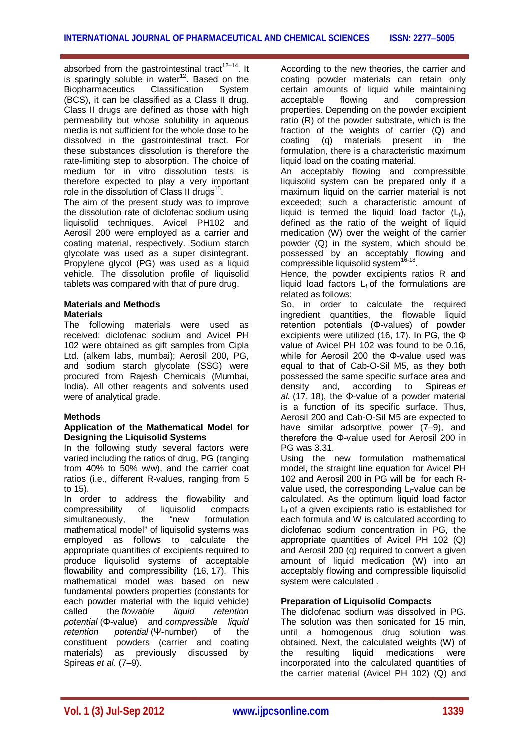absorbed from the gastrointestinal tract<sup>12-14</sup>. It is sparingly soluble in water $12$ . Based on the Biopharmaceutics Classification System (BCS), it can be classified as a Class II drug. Class II drugs are defined as those with high permeability but whose solubility in aqueous media is not sufficient for the whole dose to be dissolved in the gastrointestinal tract. For these substances dissolution is therefore the rate-limiting step to absorption. The choice of medium for in vitro dissolution tests is therefore expected to play a very important role in the dissolution of Class II drugs<sup>15</sup>.

The aim of the present study was to improve the dissolution rate of diclofenac sodium using liquisolid techniques. Avicel PH102 and Aerosil 200 were employed as a carrier and coating material, respectively. Sodium starch glycolate was used as a super disintegrant. Propylene glycol (PG) was used as a liquid vehicle. The dissolution profile of liquisolid tablets was compared with that of pure drug.

# **Materials and Methods Materials**

The following materials were used as received: diclofenac sodium and Avicel PH 102 were obtained as gift samples from Cipla Ltd. (alkem labs, mumbai); Aerosil 200, PG, and sodium starch glycolate (SSG) were procured from Rajesh Chemicals (Mumbai, India). All other reagents and solvents used were of analytical grade.

# **Methods**

#### **Application of the Mathematical Model for Designing the Liquisolid Systems**

In the following study several factors were varied including the ratios of drug, PG (ranging from 40% to 50% w/w), and the carrier coat ratios (i.e., different R-values, ranging from 5 to 15).

In order to address the flowability and compressibility of liquisolid compacts simultaneously, the "new formulation mathematical model" of liquisolid systems was employed as follows to calculate the appropriate quantities of excipients required to produce liquisolid systems of acceptable flowability and compressibility (16, 17). This mathematical model was based on new fundamental powders properties (constants for each powder material with the liquid vehicle) called the *flowable liquid retention potential* (Φ-value) and *compressible liquid retention potential* (Ψ-number) of the constituent powders (carrier and coating materials) as previously discussed by Spireas *et al.* (7–9).

According to the new theories, the carrier and coating powder materials can retain only certain amounts of liquid while maintaining acceptable flowing and compression properties. Depending on the powder excipient ratio (R) of the powder substrate, which is the fraction of the weights of carrier (Q) and<br>coating (q) materials present in the materials present in the formulation, there is a characteristic maximum liquid load on the coating material.

An acceptably flowing and compressible liquisolid system can be prepared only if a maximum liquid on the carrier material is not exceeded; such a characteristic amount of liquid is termed the liquid load factor  $(L_i)$ , defined as the ratio of the weight of liquid medication (W) over the weight of the carrier powder (Q) in the system, which should be possessed by an acceptably flowing and compressible liquisolid system<sup>16-18</sup>.

Hence, the powder excipients ratios R and liquid load factors  $L_f$  of the formulations are related as follows:

So, in order to calculate the required ingredient quantities, the flowable liquid retention potentials (Φ-values) of powder excipients were utilized (16, 17). In PG, the Φ value of Avicel PH 102 was found to be 0.16, while for Aerosil 200 the Φ-value used was equal to that of Cab-O-Sil M5, as they both possessed the same specific surface area and density and, according to Spireas *et al.* (17, 18), the Φ-value of a powder material is a function of its specific surface. Thus, Aerosil 200 and Cab-O-Sil M5 are expected to have similar adsorptive power (7–9), and therefore the Φ-value used for Aerosil 200 in PG was 3.31.

Using the new formulation mathematical model, the straight line equation for Avicel PH 102 and Aerosil 200 in PG will be for each Rvalue used, the corresponding  $L_f$ -value can be calculated. As the optimum liquid load factor  $L_f$  of a given excipients ratio is established for each formula and W is calculated according to diclofenac sodium concentration in PG, the appropriate quantities of Avicel PH 102 (Q) and Aerosil 200 (q) required to convert a given amount of liquid medication (W) into an acceptably flowing and compressible liquisolid system were calculated .

# **Preparation of Liquisolid Compacts**

The diclofenac sodium was dissolved in PG. The solution was then sonicated for 15 min, until a homogenous drug solution was obtained. Next, the calculated weights (W) of<br>the resulting liquid medications were the resulting liquid medications were incorporated into the calculated quantities of the carrier material (Avicel PH 102) (Q) and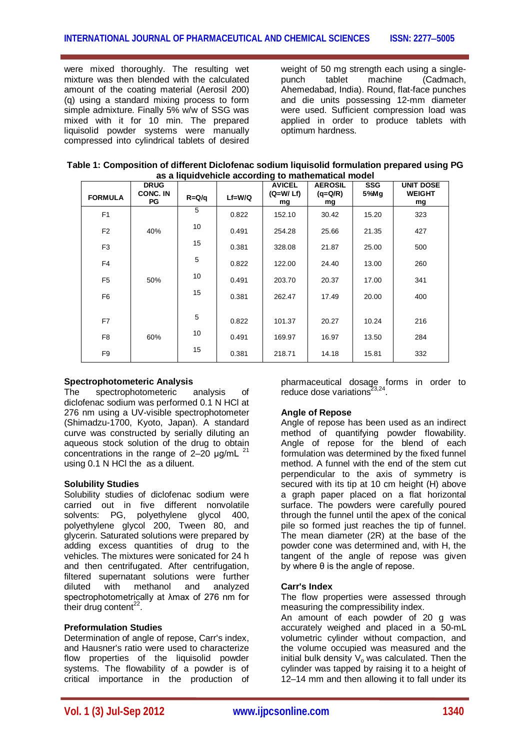were mixed thoroughly. The resulting wet mixture was then blended with the calculated amount of the coating material (Aerosil 200) (q) using a standard mixing process to form simple admixture. Finally 5% w/w of SSG was mixed with it for 10 min. The prepared liquisolid powder systems were manually compressed into cylindrical tablets of desired

weight of 50 mg strength each using a singlepunch tablet machine (Cadmach, Ahemedabad, India). Round, flat-face punches and die units possessing 12-mm diameter were used. Sufficient compression load was applied in order to produce tablets with optimum hardness.

| Table 1: Composition of different Diclofenac sodium liquisolid formulation prepared using PG |
|----------------------------------------------------------------------------------------------|
| as a liquidvehicle according to mathematical model                                           |

| <b>FORMULA</b> | <b>DRUG</b><br><b>CONC. IN</b><br>PG | $R = Q/q$ | $Lf = W/Q$ | <b>AVICEL</b><br>$(Q= W/Lf)$<br>mg | <b>AEROSIL</b><br>$(q=Q/R)$<br>mg | <b>SSG</b><br>5%Mq | <b>UNIT DOSE</b><br><b>WEIGHT</b><br>mg |
|----------------|--------------------------------------|-----------|------------|------------------------------------|-----------------------------------|--------------------|-----------------------------------------|
| F <sub>1</sub> |                                      | 5         | 0.822      | 152.10                             | 30.42                             | 15.20              | 323                                     |
| F <sub>2</sub> | 40%                                  | 10        | 0.491      | 254.28                             | 25.66                             | 21.35              | 427                                     |
| F <sub>3</sub> |                                      | 15        | 0.381      | 328.08                             | 21.87                             | 25.00              | 500                                     |
| F <sub>4</sub> |                                      | 5         | 0.822      | 122.00                             | 24.40                             | 13.00              | 260                                     |
| F <sub>5</sub> | 50%                                  | 10        | 0.491      | 203.70                             | 20.37                             | 17.00              | 341                                     |
| F <sub>6</sub> |                                      | 15        | 0.381      | 262.47                             | 17.49                             | 20.00              | 400                                     |
|                |                                      |           |            |                                    |                                   |                    |                                         |
| F7             |                                      | 5         | 0.822      | 101.37                             | 20.27                             | 10.24              | 216                                     |
| F <sub>8</sub> | 60%                                  | 10        | 0.491      | 169.97                             | 16.97                             | 13.50              | 284                                     |
| F <sub>9</sub> |                                      | 15        | 0.381      | 218.71                             | 14.18                             | 15.81              | 332                                     |

#### **Spectrophotometeric Analysis**

The spectrophotometeric analysis of diclofenac sodium was performed 0.1 N HCl at 276 nm using a UV-visible spectrophotometer (Shimadzu-1700, Kyoto, Japan). A standard curve was constructed by serially diluting an aqueous stock solution of the drug to obtain concentrations in the range of  $2-20$  µg/mL  $^{21}$ using 0.1 N HCl the as a diluent.

# **Solubility Studies**

Solubility studies of diclofenac sodium were carried out in five different nonvolatile solvents: PG, polyethylene glycol 400, polyethylene glycol 200, Tween 80, and glycerin. Saturated solutions were prepared by adding excess quantities of drug to the vehicles. The mixtures were sonicated for 24 h and then centrifugated. After centrifugation, filtered supernatant solutions were further diluted with methanol and analyzed spectrophotometrically at λmax of 276 nm for their drug content $^{22}$ .

# **Preformulation Studies**

Determination of angle of repose, Carr's index, and Hausner's ratio were used to characterize flow properties of the liquisolid powder systems. The flowability of a powder is of critical importance in the production of pharmaceutical dosage forms in order to reduce dose variations $2^{3,24}$ .

# **Angle of Repose**

Angle of repose has been used as an indirect method of quantifying powder flowability. Angle of repose for the blend of each formulation was determined by the fixed funnel method. A funnel with the end of the stem cut perpendicular to the axis of symmetry is secured with its tip at 10 cm height (H) above a graph paper placed on a flat horizontal surface. The powders were carefully poured through the funnel until the apex of the conical pile so formed just reaches the tip of funnel. The mean diameter (2R) at the base of the powder cone was determined and, with H, the tangent of the angle of repose was given by where θ is the angle of repose.

#### **Carr's Index**

The flow properties were assessed through measuring the compressibility index.

An amount of each powder of 20 g was accurately weighed and placed in a 50-mL volumetric cylinder without compaction, and the volume occupied was measured and the initial bulk density  $V_0$  was calculated. Then the cylinder was tapped by raising it to a height of 12–14 mm and then allowing it to fall under its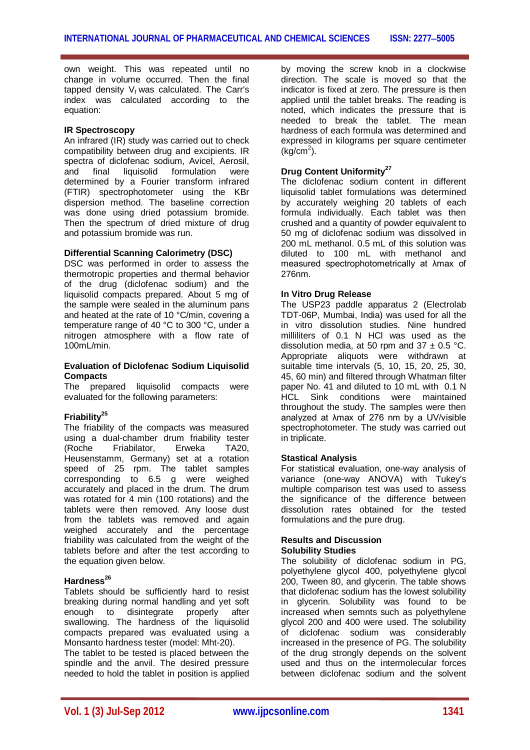own weight. This was repeated until no change in volume occurred. Then the final tapped density  $V_f$  was calculated. The Carr's index was calculated according to the equation:

# **IR Spectroscopy**

An infrared (IR) study was carried out to check compatibility between drug and excipients. IR spectra of diclofenac sodium, Avicel, Aerosil, and final liquisolid formulation were determined by a Fourier transform infrared (FTIR) spectrophotometer using the KBr dispersion method. The baseline correction was done using dried potassium bromide. Then the spectrum of dried mixture of drug and potassium bromide was run.

#### **Differential Scanning Calorimetry (DSC)**

DSC was performed in order to assess the thermotropic properties and thermal behavior of the drug (diclofenac sodium) and the liquisolid compacts prepared. About 5 mg of the sample were sealed in the aluminum pans and heated at the rate of 10 °C/min, covering a temperature range of 40 °C to 300 °C, under a nitrogen atmosphere with a flow rate of 100mL/min.

#### **Evaluation of Diclofenac Sodium Liquisolid Compacts**

The prepared liquisolid compacts were evaluated for the following parameters:

# **Friability<sup>25</sup>**

The friability of the compacts was measured using a dual-chamber drum friability tester (Roche Friabilator, Erweka TA20, Heusenstamm, Germany) set at a rotation speed of 25 rpm. The tablet samples corresponding to 6.5 g were weighed accurately and placed in the drum. The drum was rotated for 4 min (100 rotations) and the tablets were then removed. Any loose dust from the tablets was removed and again weighed accurately and the percentage friability was calculated from the weight of the tablets before and after the test according to the equation given below.

# **Hardness<sup>26</sup>**

Tablets should be sufficiently hard to resist breaking during normal handling and yet soft enough to disintegrate properly after swallowing. The hardness of the liquisolid compacts prepared was evaluated using a Monsanto hardness tester (model: Mht-20).

The tablet to be tested is placed between the spindle and the anvil. The desired pressure needed to hold the tablet in position is applied by moving the screw knob in a clockwise direction. The scale is moved so that the indicator is fixed at zero. The pressure is then applied until the tablet breaks. The reading is noted, which indicates the pressure that is needed to break the tablet. The mean hardness of each formula was determined and expressed in kilograms per square centimeter  $(kg/cm<sup>2</sup>)$ .

# **Drug Content Uniformity<sup>27</sup>**

The diclofenac sodium content in different liquisolid tablet formulations was determined by accurately weighing 20 tablets of each formula individually. Each tablet was then crushed and a quantity of powder equivalent to 50 mg of diclofenac sodium was dissolved in 200 mL methanol. 0.5 mL of this solution was diluted to 100 mL with methanol and measured spectrophotometrically at λmax of 276nm.

#### **In Vitro Drug Release**

The USP23 paddle apparatus 2 (Electrolab TDT-06P, Mumbai, India) was used for all the in vitro dissolution studies. Nine hundred milliliters of 0.1 N HCl was used as the dissolution media, at 50 rpm and  $37 \pm 0.5$  °C. Appropriate aliquots were withdrawn at suitable time intervals (5, 10, 15, 20, 25, 30, 45, 60 min) and filtered through Whatman filter paper No. 41 and diluted to 10 mL with 0.1 N HCL Sink conditions were maintained throughout the study. The samples were then analyzed at λmax of 276 nm by a UV/visible spectrophotometer. The study was carried out in triplicate.

#### **Stastical Analysis**

For statistical evaluation, one-way analysis of variance (one-way ANOVA) with Tukey's multiple comparison test was used to assess the significance of the difference between dissolution rates obtained for the tested formulations and the pure drug.

#### **Results and Discussion Solubility Studies**

The solubility of diclofenac sodium in PG, polyethylene glycol 400, polyethylene glycol 200, Tween 80, and glycerin. The table shows that diclofenac sodium has the lowest solubility in glycerin. Solubility was found to be increased when semnts such as polyethylene glycol 200 and 400 were used. The solubility of diclofenac sodium was considerably increased in the presence of PG. The solubility of the drug strongly depends on the solvent used and thus on the intermolecular forces between diclofenac sodium and the solvent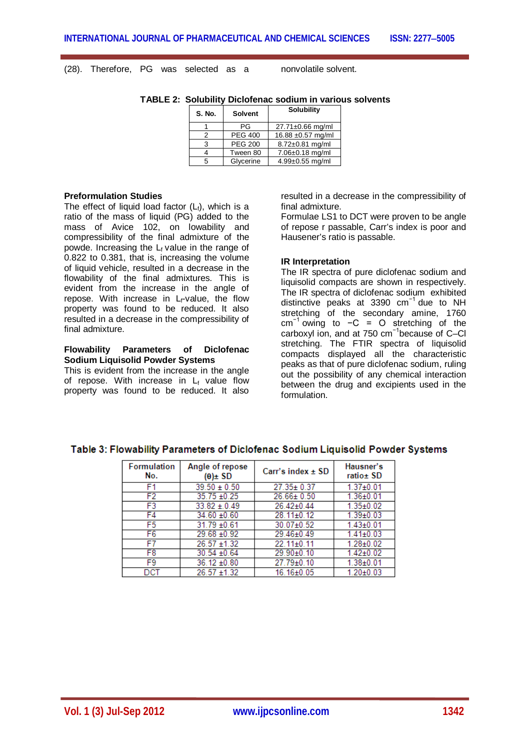(28). Therefore, PG was selected as a nonvolatile solvent.

| S. No. | <b>Solvent</b> | <b>Solubility</b>      |
|--------|----------------|------------------------|
|        | ΡG             | $27.71 \pm 0.66$ mg/ml |
|        | <b>PEG 400</b> | 16.88 ±0.57 mg/ml      |
| 3      | <b>PEG 200</b> | 8.72±0.81 mg/ml        |
|        | Tween 80       | 7.06±0.18 mg/ml        |
| 5      | Glycerine      | 4.99±0.55 mg/ml        |

**TABLE 2: Solubility Diclofenac sodium in various solvents**

#### **Preformulation Studies**

The effect of liquid load factor  $(L_i)$ , which is a ratio of the mass of liquid (PG) added to the mass of Avice 102, on lowability and compressibility of the final admixture of the powde. Increasing the  $L_f$  value in the range of 0.822 to 0.381, that is, increasing the volume of liquid vehicle, resulted in a decrease in the flowability of the final admixtures. This is evident from the increase in the angle of repose. With increase in  $L_f$ -value, the flow property was found to be reduced. It also resulted in a decrease in the compressibility of final admixture.

#### **Flowability Parameters of Diclofenac Sodium Liquisolid Powder Systems**

This is evident from the increase in the angle of repose. With increase in  $L_f$  value flow property was found to be reduced. It also

resulted in a decrease in the compressibility of final admixture.

Formulae LS1 to DCT were proven to be angle of repose r passable, Carr's index is poor and Hausener's ratio is passable.

#### **IR Interpretation**

The IR spectra of pure diclofenac sodium and liquisolid compacts are shown in respectively. The IR spectra of diclofenac sodium exhibited distinctive peaks at 3390 cm−1 due to NH stretching of the secondary amine, 1760 cm−1 owing to −C = O stretching of the carboxyl ion, and at 750 cm−1because of C–Cl stretching. The FTIR spectra of liquisolid compacts displayed all the characteristic peaks as that of pure diclofenac sodium, ruling out the possibility of any chemical interaction between the drug and excipients used in the formulation.

| <b>Formulation</b><br>No. | Angle of repose<br>$(\theta) \pm SD$ | Carr's index $\pm$ SD | Hausner's<br>ratio± SD |
|---------------------------|--------------------------------------|-----------------------|------------------------|
| F1                        | $39.50 \pm 0.50$                     | 27.35±0.37            | $1.37 \pm 0.01$        |
| F <sub>2</sub>            | $35.75 \pm 0.25$                     | 26.66± 0.50           | $1.36 + 0.01$          |
| F3                        | $33.82 \pm 0.49$                     | 26.42±0.44            | $1.35 \pm 0.02$        |
| F4                        | $34.60 + 0.60$                       | 28.11±0.12            | $1.39{\pm}0.03$        |
| F <sub>5</sub>            | $31.79 + 0.61$                       | $30.07 \pm 0.52$      | $1.43 \pm 0.01$        |
| F <sub>6</sub>            | $29.68 + 0.92$                       | 29.46±0.49            | $1.41 \pm 0.03$        |
| F7                        | $26.57 + 1.32$                       | 22.11±0.11            | $1.28 + 0.02$          |
| F8                        | $30.54 + 0.64$                       | 29.90±0.10            | $1.42{\pm}0.02$        |
| F9                        | 36.12 ±0.80                          | 27.79±0.10            | $1.38 + 0.01$          |
| DCT                       | $96.57 + 1.32$                       | 16.16+0.05            | 1.20±0.03              |

#### Table 3: Flowability Parameters of Diclofenac Sodium Liquisolid Powder Systems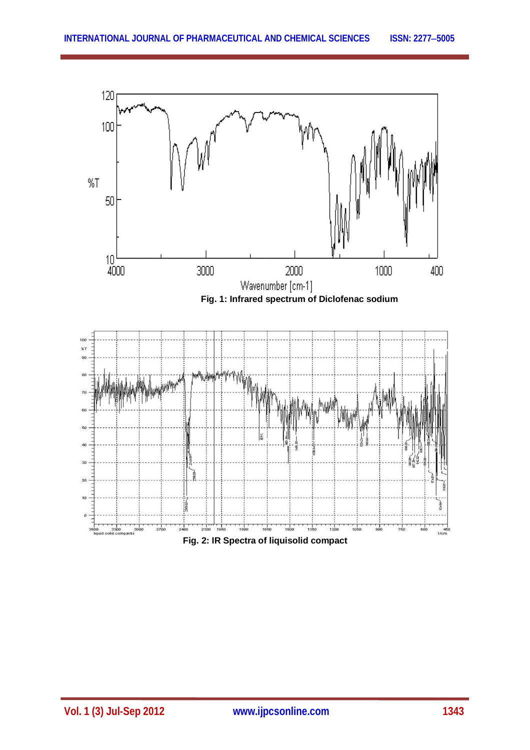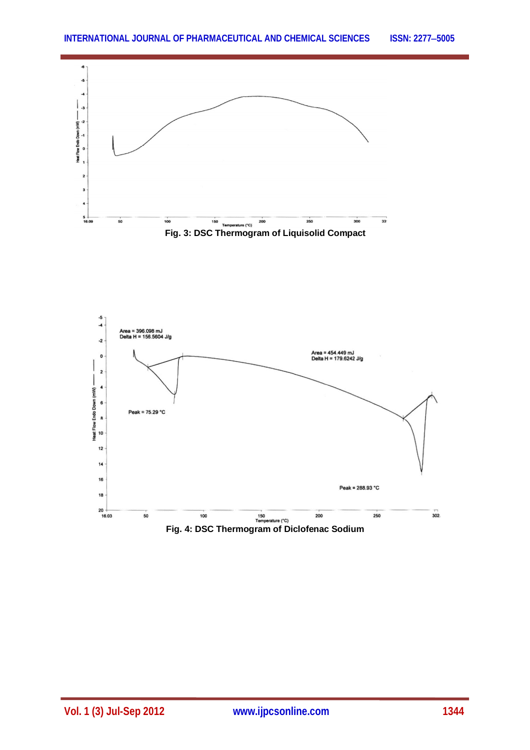

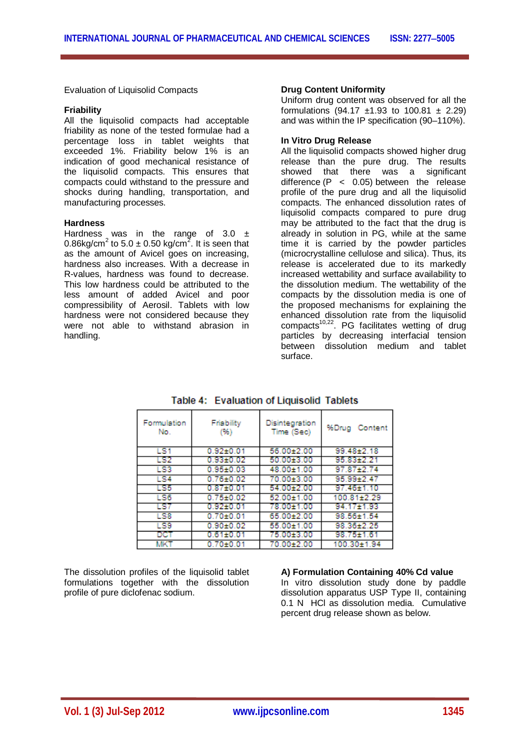Evaluation of Liquisolid Compacts

#### **Friability**

All the liquisolid compacts had acceptable friability as none of the tested formulae had a percentage loss in tablet weights that exceeded 1%. Friability below 1% is an indication of good mechanical resistance of the liquisolid compacts. This ensures that compacts could withstand to the pressure and shocks during handling, transportation, and manufacturing processes.

#### **Hardness**

Hardness was in the range of 3.0  $\pm$ 0.86kg/cm<sup>2</sup> to 5.0  $\pm$  0.50 kg/cm<sup>2</sup>. It is seen that as the amount of Avicel goes on increasing, hardness also increases. With a decrease in R-values, hardness was found to decrease. This low hardness could be attributed to the less amount of added Avicel and poor compressibility of Aerosil. Tablets with low hardness were not considered because they were not able to withstand abrasion in handling.

#### **Drug Content Uniformity**

Uniform drug content was observed for all the formulations (94.17  $\pm 1.93$  to 100.81  $\pm$  2.29) and was within the IP specification (90–110%).

#### **In Vitro Drug Release**

All the liquisolid compacts showed higher drug release than the pure drug. The results showed that there was a significant difference  $(P < 0.05)$  between the release profile of the pure drug and all the liquisolid compacts. The enhanced dissolution rates of liquisolid compacts compared to pure drug may be attributed to the fact that the drug is already in solution in PG, while at the same time it is carried by the powder particles (microcrystalline cellulose and silica). Thus, its release is accelerated due to its markedly increased wettability and surface availability to the dissolution medium. The wettability of the compacts by the dissolution media is one of the proposed mechanisms for explaining the enhanced dissolution rate from the liquisolid compacts<sup>10,22</sup>. PG facilitates wetting of drug particles by decreasing interfacial tension between dissolution medium and tablet surface.

| Formulation<br>No. | Friability<br>(96) | Disintegration<br>Time (Sec) | %Drug Content |
|--------------------|--------------------|------------------------------|---------------|
| LS1                | $0.92 + 0.01$      | 56.00±2.00                   | 99.48±2.18    |
| LS2                | $0.93 + 0.02$      | 50.0013.00                   | 95.8312.21    |
| LS3                | $0.95 + 0.03$      | 48.00±1.00                   | 97.87±2.74    |
| <b>LS4</b>         | 0.7610.02          | 70.00±3.00                   | 95.99+2.47    |
| LS5                | $0.87{\pm}0.01$    | 54.00±2.00                   | 97.46±1.10    |
| LS6                | $0.75{\pm}0.02$    | 52.00±1.00                   | 100.81±2.29   |
| LS7                | $0.92 \pm 0.01$    | 78.00±1.00                   | 94.17±1.93    |
| LS8                | $0.70 + 0.01$      | 65.00±2.00                   | 98.56±1.54    |
| LS9                | $0.90 + 0.02$      | 55.00±1.00                   | 98.36±2.25    |
| DCT                | $0.61 \pm 0.01$    | 75.00±3.00                   | 98.75±1.61    |
| <b>MKT</b>         | $0.70 + 0.01$      | 70.00±2.00                   | 100.30±1.94   |

Table 4: Evaluation of Liquisolid Tablets

The dissolution profiles of the liquisolid tablet formulations together with the dissolution profile of pure diclofenac sodium.

# **A) Formulation Containing 40% Cd value**

In vitro dissolution study done by paddle dissolution apparatus USP Type II, containing 0.1 N HCl as dissolution media. Cumulative percent drug release shown as below.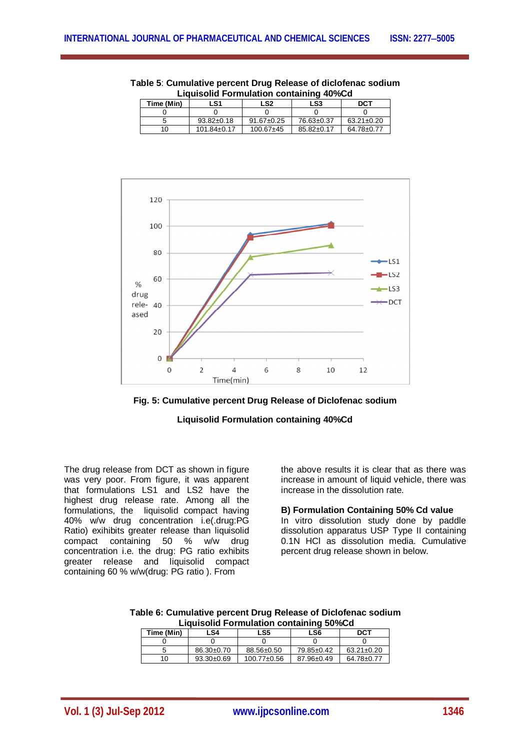| Liquisolid Formulation containing 40%Cd |                   |                  |                  |                  |  |
|-----------------------------------------|-------------------|------------------|------------------|------------------|--|
| Time (Min)                              | LS1               | LS2              | LS3              | <b>DCT</b>       |  |
|                                         |                   |                  |                  |                  |  |
|                                         | $93.82 \pm 0.18$  | $91.67 \pm 0.25$ | 76.63±0.37       | $63.21 \pm 0.20$ |  |
| 10                                      | $101.84 \pm 0.17$ | $100.67 + 45$    | $85.82 \pm 0.17$ | 64.78±0.77       |  |







**Liquisolid Formulation containing 40%Cd**

The drug release from DCT as shown in figure was very poor. From figure, it was apparent that formulations LS1 and LS2 have the highest drug release rate. Among all the formulations, the liquisolid compact having 40% w/w drug concentration i.e(.drug:PG Ratio) exihibits greater release than liquisolid compact containing 50 % w/w drug concentration i.e. the drug: PG ratio exhibits greater release and liquisolid compact containing 60 % w/w(drug: PG ratio ). From

the above results it is clear that as there was increase in amount of liquid vehicle, there was increase in the dissolution rate.

# **B) Formulation Containing 50% Cd value**

In vitro dissolution study done by paddle dissolution apparatus USP Type II containing 0.1N HCl as dissolution media. Cumulative percent drug release shown in below.

| Table 6: Cumulative percent Drug Release of Diclofenac sodium |  |
|---------------------------------------------------------------|--|
| <b>Liquisolid Formulation containing 50%Cd</b>                |  |

| Time (Min) | LS4              | LS5               | LS6        | DCT              |
|------------|------------------|-------------------|------------|------------------|
|            |                  |                   |            |                  |
|            | $86.30 \pm 0.70$ | 88.56±0.50        | 79.85±0.42 | $63.21 \pm 0.20$ |
| 10         | $93.30 \pm 0.69$ | $100.77 \pm 0.56$ | 87.96±0.49 | $64.78 \pm 0.77$ |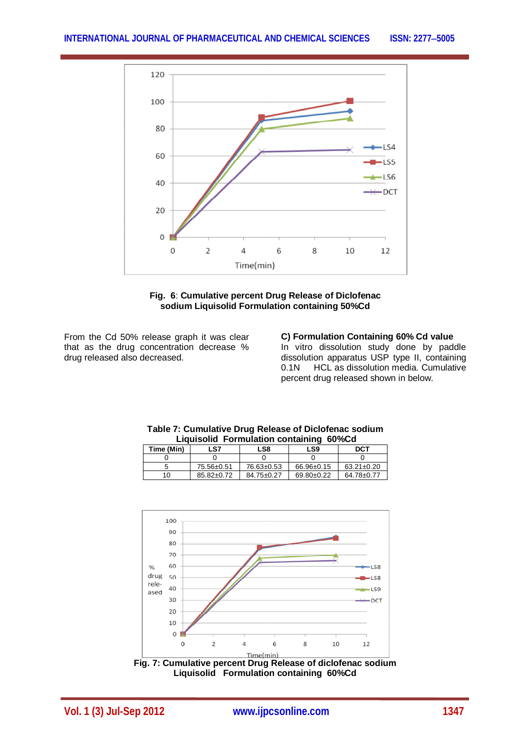



From the Cd 50% release graph it was clear that as the drug concentration decrease % drug released also decreased.

 $10$  85.82±0.72

**C) Formulation Containing 60% Cd value** In vitro dissolution study done by paddle dissolution apparatus USP type II, containing 0.1N HCL as dissolution media. Cumulative percent drug released shown in below.





0 0 0 0 0 0  $\frac{5}{10}$  75.56±0.51 76.63±0.53 66.96±0.15 63.21±0.20<br>10 85.82±0.72 84.75±0.27 69.80±0.22 64.78±0.77

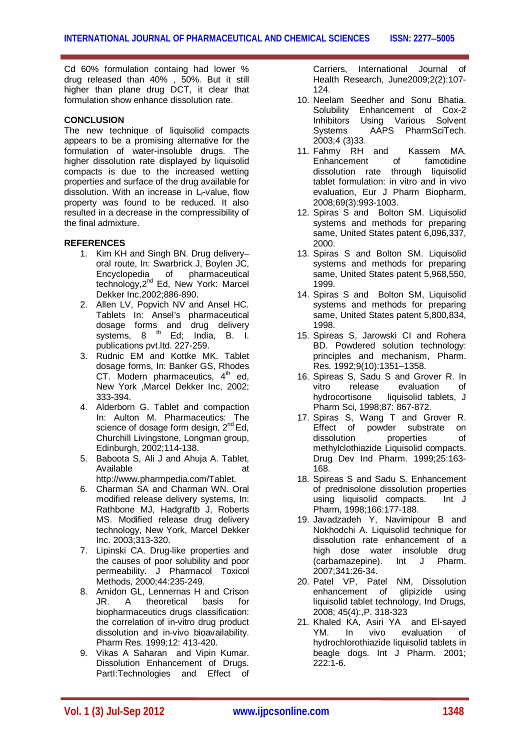Cd 60% formulation containg had lower % drug released than 40% , 50%. But it still higher than plane drug DCT, it clear that formulation show enhance dissolution rate.

# **CONCLUSION**

The new technique of liquisolid compacts appears to be a promising alternative for the formulation of water-insoluble drugs. The higher dissolution rate displayed by liquisolid compacts is due to the increased wetting properties and surface of the drug available for dissolution. With an increase in  $L_f$ -value, flow property was found to be reduced. It also resulted in a decrease in the compressibility of the final admixture.

# **REFERENCES**

- 1. Kim KH and Singh BN. Drug delivery– oral route, In: Swarbrick J, Boylen JC,<br>Encyclopedia of pharmaceutical Encyclopedia of technology, 2<sup>nd</sup> Ed, New York: Marcel Dekker Inc,2002;886-890.
- 2. Allen LV, Popvich NV and Ansel HC. Tablets In: Ansel's pharmaceutical dosage forms and drug delivery systems, 8 <sup>th</sup> Ed; India, B. I. publications pvt.ltd. 227-259.
- 3. Rudnic EM and Kottke MK. Tablet dosage forms, In: Banker GS, Rhodes CT. Modern pharmaceutics,  $4<sup>th</sup>$  ed, New York ,Marcel Dekker Inc, 2002; 333-394.
- 4. Alderborn G. Tablet and compaction In: Aulton M. Pharmaceutics: The science of dosage form design, 2<sup>nd</sup> Ed, Churchill Livingstone, Longman group, Edinburgh, 2002;114-138.
- 5. Baboota S, Ali J and Ahuja A. Tablet, Available at a strategies at a transition of the strategies at a strategies at a transition of the strategies at a transition of the strategies at a transition of the strategies at a transition of the strategies of the str http://www.pharmpedia.com/Tablet.
- 6. Charman SA and Charman WN. Oral modified release delivery systems, In: Rathbone MJ, Hadgraftb J, Roberts MS. Modified release drug delivery technology, New York, Marcel Dekker Inc. 2003;313-320.
- 7. Lipinski CA. Drug-like properties and the causes of poor solubility and poor permeability. J Pharmacol Toxicol Methods, 2000;44:235-249.
- 8. Amidon GL, Lennernas H and Crison JR. A theoretical basis for biopharmaceutics drugs classification: the correlation of in-vitro drug product dissolution and in-vivo bioavailability. Pharm Res. 1999;12: 413-420.
- 9. Vikas A Saharan and Vipin Kumar. Dissolution Enhancement of Drugs. PartI:Technologies and Effect of

Carriers, International Journal of Health Research, June2009;2(2):107- 124.

- 10. Neelam Seedher and Sonu Bhatia. Solubility Enhancement of Cox-2 Inhibitors Using Various Solvent<br>Systems AAPS PharmSciTech. AAPS PharmSciTech. 2003;4 (3)33.
- 11. Fahmy RH and Kassem MA.<br>Enhancement of famotidine Enhancement of dissolution rate through liquisolid tablet formulation: in vitro and in vivo evaluation, Eur J Pharm Biopharm, 2008;69(3):993-1003.
- 12. Spiras S and Bolton SM. Liquisolid systems and methods for preparing same, United States patent 6,096,337, 2000.
- 13. Spiras S and Bolton SM. Liquisolid systems and methods for preparing same, United States patent 5,968,550, 1999.
- 14. Spiras S and Bolton SM, Liquisolid systems and methods for preparing same, United States patent 5,800,834, 1998.
- 15. Spireas S, Jarowski CI and Rohera BD. Powdered solution technology: principles and mechanism, Pharm. Res. 1992;9(10):1351–1358.
- 16. Spireas S, Sadu S and Grover R. In vitro release evaluation of hydrocortisone liquisolid tablets, J Pharm Sci, 1998;87: 867-872.
- 17. Spiras S, Wang T and Grover R. Effect of powder substrate on dissolution properties of methylclothiazide Liquisolid compacts. Drug Dev Ind Pharm. 1999;25:163- 168.
- 18. Spireas S and Sadu S. Enhancement of prednisolone dissolution properties using liquisolid compacts. Int J Pharm, 1998;166:177-188.
- 19. Javadzadeh Y, Navimipour B and Nokhodchi A. Liquisolid technique for dissolution rate enhancement of a high dose water insoluble drug (carbamazepine). Int J Pharm. 2007;341:26-34.
- 20. Patel VP, Patel NM, Dissolution enhancement of glipizide using liquisolid tablet technology, Ind Drugs, 2008; 45(4):,P. 318-323
- 21. Khaled KA, Asiri YA and El-sayed YM. In vivo evaluation of hydrochlorothiazide liquisolid tablets in beagle dogs. Int J Pharm. 2001; 222:1-6.